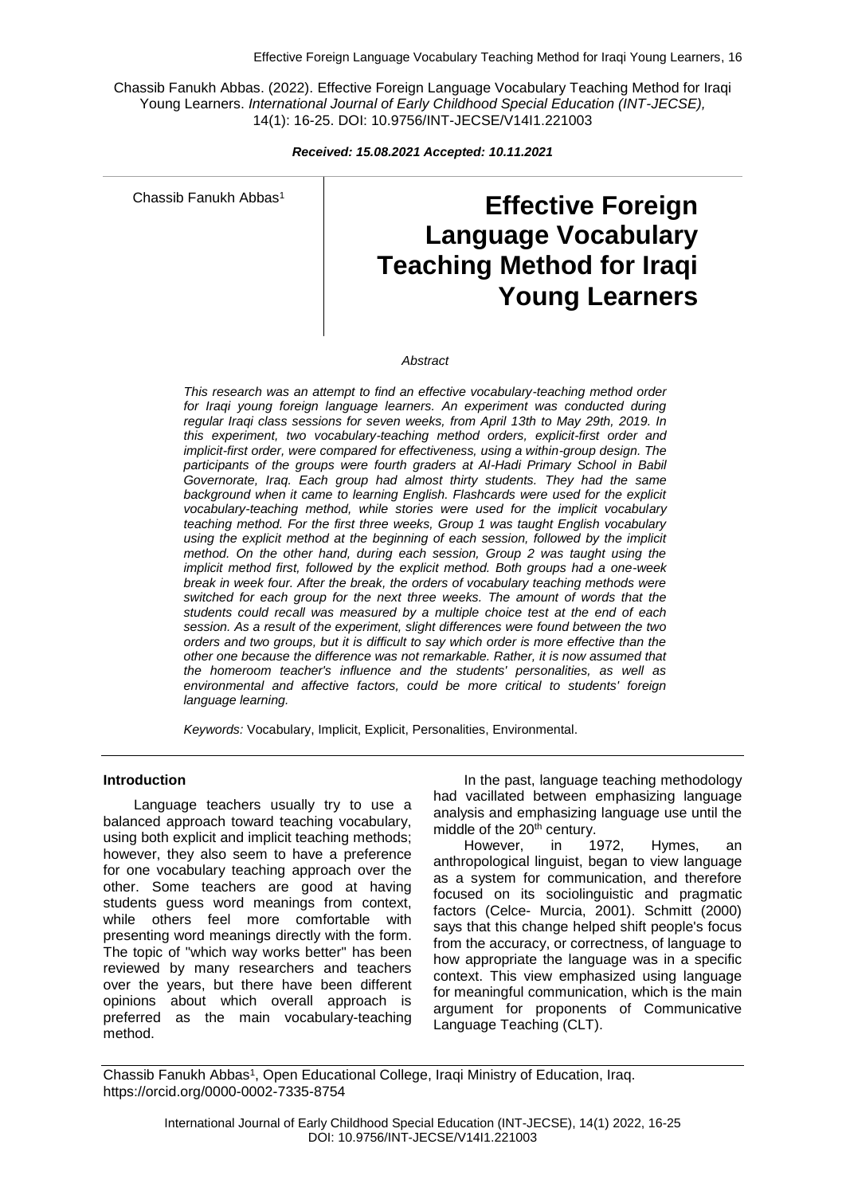Chassib Fanukh Abbas. (2022). Effective Foreign Language Vocabulary Teaching Method for Iraqi Young Learners. *International Journal of Early Childhood Special Education (INT-JECSE),* 14(1): 16-25. DOI: 10.9756/INT-JECSE/V14I1.221003

*Received: 15.08.2021 Accepted: 10.11.2021*

Chassib Fanukh Abbas<sup>1</sup>

# **Effective Foreign Language Vocabulary Teaching Method for Iraqi Young Learners**

#### *Abstract*

*This research was an attempt to find an effective vocabulary-teaching method order for Iraqi young foreign language learners. An experiment was conducted during regular Iraqi class sessions for seven weeks, from April 13th to May 29th, 2019. In this experiment, two vocabulary-teaching method orders, explicit-first order and implicit-first order, were compared for effectiveness, using a within-group design. The participants of the groups were fourth graders at Al-Hadi Primary School in Babil Governorate, Iraq. Each group had almost thirty students. They had the same background when it came to learning English. Flashcards were used for the explicit vocabulary-teaching method, while stories were used for the implicit vocabulary teaching method. For the first three weeks, Group 1 was taught English vocabulary using the explicit method at the beginning of each session, followed by the implicit method. On the other hand, during each session, Group 2 was taught using the implicit method first, followed by the explicit method. Both groups had a one-week break in week four. After the break, the orders of vocabulary teaching methods were switched for each group for the next three weeks. The amount of words that the students could recall was measured by a multiple choice test at the end of each session. As a result of the experiment, slight differences were found between the two orders and two groups, but it is difficult to say which order is more effective than the other one because the difference was not remarkable. Rather, it is now assumed that the homeroom teacher's influence and the students' personalities, as well as environmental and affective factors, could be more critical to students' foreign language learning.*

*Keywords:* Vocabulary, Implicit, Explicit, Personalities, Environmental.

#### **Introduction**

Language teachers usually try to use a balanced approach toward teaching vocabulary, using both explicit and implicit teaching methods; however, they also seem to have a preference for one vocabulary teaching approach over the other. Some teachers are good at having students guess word meanings from context, while others feel more comfortable with presenting word meanings directly with the form. The topic of "which way works better" has been reviewed by many researchers and teachers over the years, but there have been different opinions about which overall approach is preferred as the main vocabulary-teaching method.

In the past, language teaching methodology had vacillated between emphasizing language analysis and emphasizing language use until the middle of the 20<sup>th</sup> century.

However, in 1972, Hymes, an anthropological linguist, began to view language as a system for communication, and therefore focused on its sociolinguistic and pragmatic factors (Celce- Murcia, 2001). Schmitt (2000) says that this change helped shift people's focus from the accuracy, or correctness, of language to how appropriate the language was in a specific context. This view emphasized using language for meaningful communication, which is the main argument for proponents of Communicative Language Teaching (CLT).

Chassib Fanukh Abbas<sup>1</sup>, Open Educational College, Iraqi Ministry of Education, Iraq. https://orcid.org/0000-0002-7335-8754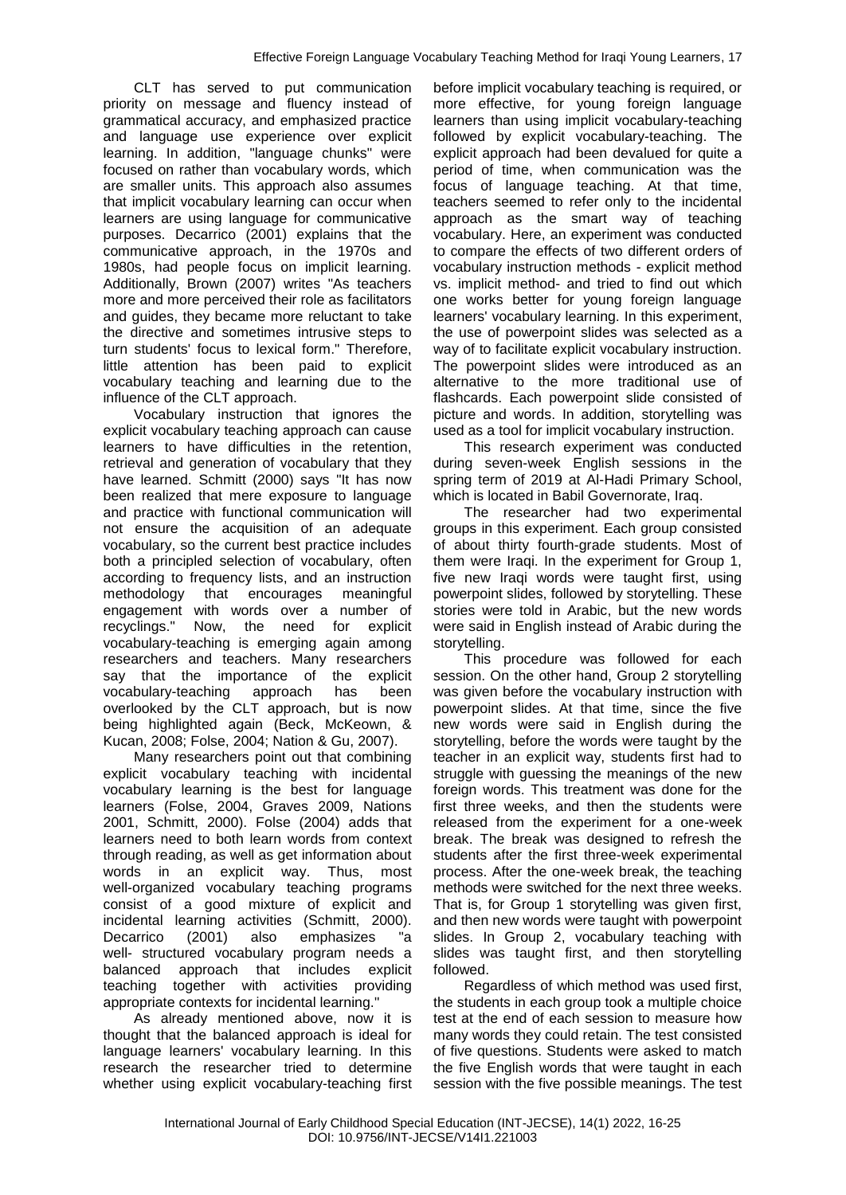CLT has served to put communication priority on message and fluency instead of grammatical accuracy, and emphasized practice and language use experience over explicit learning. In addition, "language chunks" were focused on rather than vocabulary words, which are smaller units. This approach also assumes that implicit vocabulary learning can occur when learners are using language for communicative purposes. Decarrico (2001) explains that the communicative approach, in the 1970s and 1980s, had people focus on implicit learning. Additionally, Brown (2007) writes "As teachers more and more perceived their role as facilitators and guides, they became more reluctant to take the directive and sometimes intrusive steps to turn students' focus to lexical form." Therefore, little attention has been paid to explicit vocabulary teaching and learning due to the influence of the CLT approach.

Vocabulary instruction that ignores the explicit vocabulary teaching approach can cause learners to have difficulties in the retention, retrieval and generation of vocabulary that they have learned. Schmitt (2000) says "It has now been realized that mere exposure to language and practice with functional communication will not ensure the acquisition of an adequate vocabulary, so the current best practice includes both a principled selection of vocabulary, often according to frequency lists, and an instruction methodology that encourages meaningful engagement with words over a number of recyclings." Now, the need for explicit vocabulary-teaching is emerging again among researchers and teachers. Many researchers say that the importance of the explicit vocabulary-teaching approach has been overlooked by the CLT approach, but is now being highlighted again (Beck, McKeown, & Kucan, 2008; Folse, 2004; Nation & Gu, 2007).

Many researchers point out that combining explicit vocabulary teaching with incidental vocabulary learning is the best for language learners (Folse, 2004, Graves 2009, Nations 2001, Schmitt, 2000). Folse (2004) adds that learners need to both learn words from context through reading, as well as get information about words in an explicit way. Thus, most well-organized vocabulary teaching programs consist of a good mixture of explicit and incidental learning activities (Schmitt, 2000). Decarrico (2001) also emphasizes "a well- structured vocabulary program needs a balanced approach that includes explicit teaching together with activities providing appropriate contexts for incidental learning."

As already mentioned above, now it is thought that the balanced approach is ideal for language learners' vocabulary learning. In this research the researcher tried to determine whether using explicit vocabulary-teaching first before implicit vocabulary teaching is required, or more effective, for young foreign language learners than using implicit vocabulary-teaching followed by explicit vocabulary-teaching. The explicit approach had been devalued for quite a period of time, when communication was the focus of language teaching. At that time, teachers seemed to refer only to the incidental approach as the smart way of teaching vocabulary. Here, an experiment was conducted to compare the effects of two different orders of vocabulary instruction methods - explicit method vs. implicit method- and tried to find out which one works better for young foreign language learners' vocabulary learning. In this experiment, the use of powerpoint slides was selected as a way of to facilitate explicit vocabulary instruction. The powerpoint slides were introduced as an alternative to the more traditional use of flashcards. Each powerpoint slide consisted of picture and words. In addition, storytelling was used as a tool for implicit vocabulary instruction.

This research experiment was conducted during seven-week English sessions in the spring term of 2019 at Al-Hadi Primary School, which is located in Babil Governorate, Iraq.

The researcher had two experimental groups in this experiment. Each group consisted of about thirty fourth-grade students. Most of them were Iraqi. In the experiment for Group 1, five new Iraqi words were taught first, using powerpoint slides, followed by storytelling. These stories were told in Arabic, but the new words were said in English instead of Arabic during the storytelling.

This procedure was followed for each session. On the other hand, Group 2 storytelling was given before the vocabulary instruction with powerpoint slides. At that time, since the five new words were said in English during the storytelling, before the words were taught by the teacher in an explicit way, students first had to struggle with guessing the meanings of the new foreign words. This treatment was done for the first three weeks, and then the students were released from the experiment for a one-week break. The break was designed to refresh the students after the first three-week experimental process. After the one-week break, the teaching methods were switched for the next three weeks. That is, for Group 1 storytelling was given first, and then new words were taught with powerpoint slides. In Group 2, vocabulary teaching with slides was taught first, and then storytelling followed.

Regardless of which method was used first, the students in each group took a multiple choice test at the end of each session to measure how many words they could retain. The test consisted of five questions. Students were asked to match the five English words that were taught in each session with the five possible meanings. The test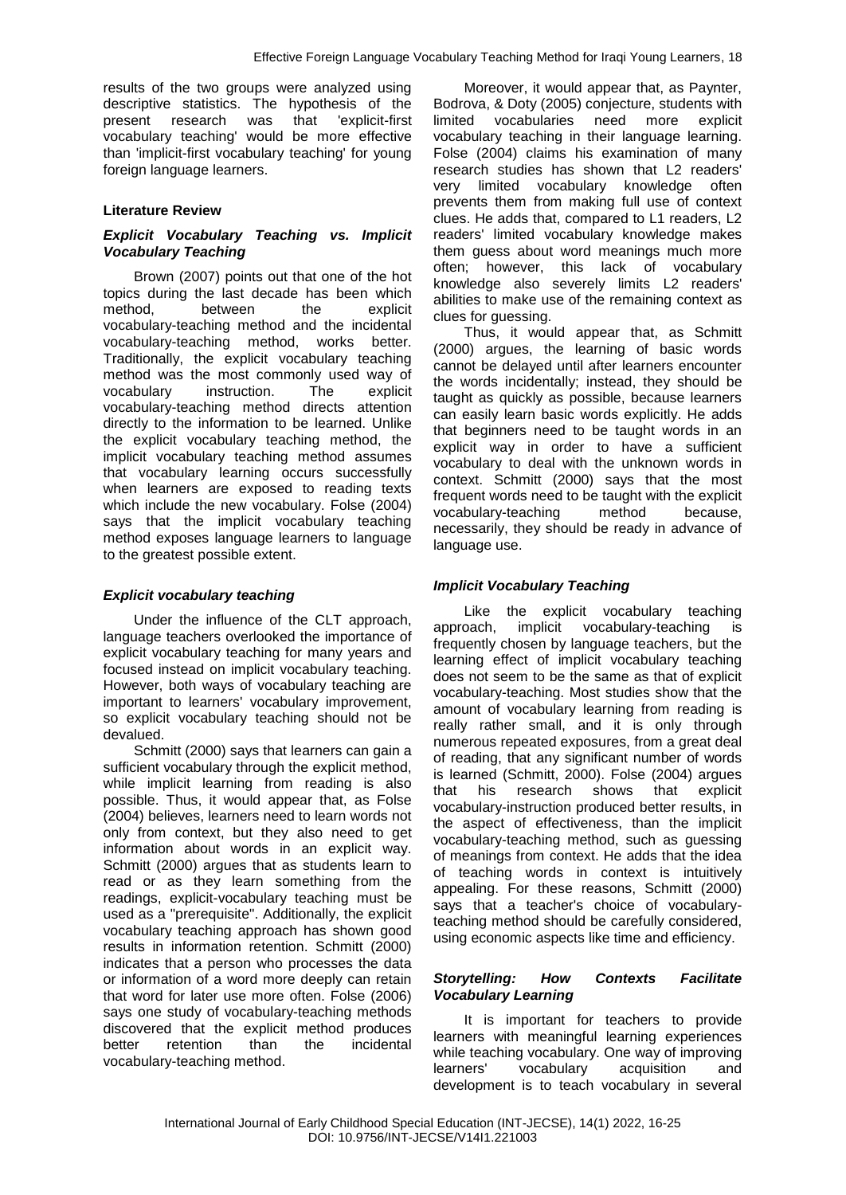results of the two groups were analyzed using descriptive statistics. The hypothesis of the present research was that 'explicit-first vocabulary teaching' would be more effective than 'implicit-first vocabulary teaching' for young foreign language learners.

# **Literature Review**

# *Explicit Vocabulary Teaching vs. Implicit Vocabulary Teaching*

Brown (2007) points out that one of the hot topics during the last decade has been which method, between the explicit vocabulary-teaching method and the incidental vocabulary-teaching method, works better. Traditionally, the explicit vocabulary teaching method was the most commonly used way of vocabulary instruction. The explicit vocabulary-teaching method directs attention directly to the information to be learned. Unlike the explicit vocabulary teaching method, the implicit vocabulary teaching method assumes that vocabulary learning occurs successfully when learners are exposed to reading texts which include the new vocabulary. Folse (2004) says that the implicit vocabulary teaching method exposes language learners to language to the greatest possible extent.

# *Explicit vocabulary teaching*

Under the influence of the CLT approach, language teachers overlooked the importance of explicit vocabulary teaching for many years and focused instead on implicit vocabulary teaching. However, both ways of vocabulary teaching are important to learners' vocabulary improvement, so explicit vocabulary teaching should not be devalued.

Schmitt (2000) says that learners can gain a sufficient vocabulary through the explicit method, while implicit learning from reading is also possible. Thus, it would appear that, as Folse (2004) believes, learners need to learn words not only from context, but they also need to get information about words in an explicit way. Schmitt (2000) argues that as students learn to read or as they learn something from the readings, explicit-vocabulary teaching must be used as a "prerequisite". Additionally, the explicit vocabulary teaching approach has shown good results in information retention. Schmitt (2000) indicates that a person who processes the data or information of a word more deeply can retain that word for later use more often. Folse (2006) says one study of vocabulary-teaching methods discovered that the explicit method produces better retention than the incidental vocabulary-teaching method.

Moreover, it would appear that, as Paynter, Bodrova, & Doty (2005) conjecture, students with limited vocabularies need more vocabulary teaching in their language learning. Folse (2004) claims his examination of many research studies has shown that L2 readers' very limited vocabulary knowledge often prevents them from making full use of context clues. He adds that, compared to L1 readers, L2 readers' limited vocabulary knowledge makes them guess about word meanings much more often; however, this lack of vocabulary knowledge also severely limits L2 readers' abilities to make use of the remaining context as clues for guessing.

Thus, it would appear that, as Schmitt (2000) argues, the learning of basic words cannot be delayed until after learners encounter the words incidentally; instead, they should be taught as quickly as possible, because learners can easily learn basic words explicitly. He adds that beginners need to be taught words in an explicit way in order to have a sufficient vocabulary to deal with the unknown words in context. Schmitt (2000) says that the most frequent words need to be taught with the explicit vocabulary-teaching method because, necessarily, they should be ready in advance of language use.

# *Implicit Vocabulary Teaching*

Like the explicit vocabulary teaching approach, implicit vocabulary-teaching is frequently chosen by language teachers, but the learning effect of implicit vocabulary teaching does not seem to be the same as that of explicit vocabulary-teaching. Most studies show that the amount of vocabulary learning from reading is really rather small, and it is only through numerous repeated exposures, from a great deal of reading, that any significant number of words is learned (Schmitt, 2000). Folse (2004) argues that his research shows that explicit vocabulary-instruction produced better results, in the aspect of effectiveness, than the implicit vocabulary-teaching method, such as guessing of meanings from context. He adds that the idea of teaching words in context is intuitively appealing. For these reasons, Schmitt (2000) says that a teacher's choice of vocabularyteaching method should be carefully considered, using economic aspects like time and efficiency.

## *Storytelling: How Contexts Facilitate Vocabulary Learning*

It is important for teachers to provide learners with meaningful learning experiences while teaching vocabulary. One way of improving learners' vocabulary acquisition and development is to teach vocabulary in several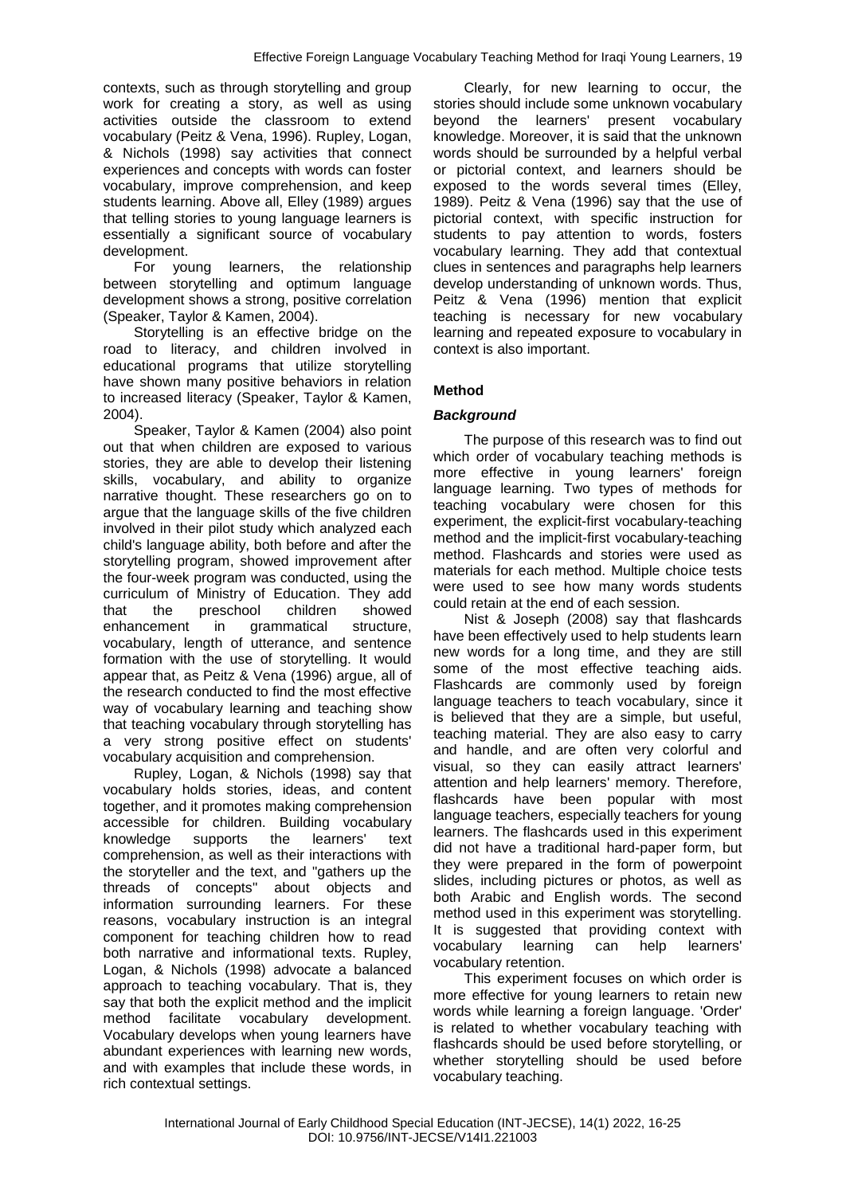contexts, such as through storytelling and group work for creating a story, as well as using activities outside the classroom to extend vocabulary (Peitz & Vena, 1996). Rupley, Logan, & Nichols (1998) say activities that connect experiences and concepts with words can foster vocabulary, improve comprehension, and keep students learning. Above all, Elley (1989) argues that telling stories to young language learners is essentially a significant source of vocabulary development.

For young learners, the relationship between storytelling and optimum language development shows a strong, positive correlation (Speaker, Taylor & Kamen, 2004).

Storytelling is an effective bridge on the road to literacy, and children involved in educational programs that utilize storytelling have shown many positive behaviors in relation to increased literacy (Speaker, Taylor & Kamen, 2004).

Speaker, Taylor & Kamen (2004) also point out that when children are exposed to various stories, they are able to develop their listening skills, vocabulary, and ability to organize narrative thought. These researchers go on to argue that the language skills of the five children involved in their pilot study which analyzed each child's language ability, both before and after the storytelling program, showed improvement after the four-week program was conducted, using the curriculum of Ministry of Education. They add that the preschool children showed enhancement in grammatical structure, vocabulary, length of utterance, and sentence formation with the use of storytelling. It would appear that, as Peitz & Vena (1996) argue, all of the research conducted to find the most effective way of vocabulary learning and teaching show that teaching vocabulary through storytelling has a very strong positive effect on students' vocabulary acquisition and comprehension.

Rupley, Logan, & Nichols (1998) say that vocabulary holds stories, ideas, and content together, and it promotes making comprehension accessible for children. Building vocabulary knowledge supports the learners' text comprehension, as well as their interactions with the storyteller and the text, and "gathers up the threads of concepts" about objects and information surrounding learners. For these reasons, vocabulary instruction is an integral component for teaching children how to read both narrative and informational texts. Rupley, Logan, & Nichols (1998) advocate a balanced approach to teaching vocabulary. That is, they say that both the explicit method and the implicit method facilitate vocabulary development. Vocabulary develops when young learners have abundant experiences with learning new words, and with examples that include these words, in rich contextual settings.

Clearly, for new learning to occur, the stories should include some unknown vocabulary beyond the learners' present vocabulary knowledge. Moreover, it is said that the unknown words should be surrounded by a helpful verbal or pictorial context, and learners should be exposed to the words several times (Elley, 1989). Peitz & Vena (1996) say that the use of pictorial context, with specific instruction for students to pay attention to words, fosters vocabulary learning. They add that contextual clues in sentences and paragraphs help learners develop understanding of unknown words. Thus, Peitz & Vena (1996) mention that explicit teaching is necessary for new vocabulary learning and repeated exposure to vocabulary in context is also important.

# **Method**

# *Background*

The purpose of this research was to find out which order of vocabulary teaching methods is more effective in young learners' foreign language learning. Two types of methods for teaching vocabulary were chosen for this experiment, the explicit-first vocabulary-teaching method and the implicit-first vocabulary-teaching method. Flashcards and stories were used as materials for each method. Multiple choice tests were used to see how many words students could retain at the end of each session.

Nist & Joseph (2008) say that flashcards have been effectively used to help students learn new words for a long time, and they are still some of the most effective teaching aids. Flashcards are commonly used by foreign language teachers to teach vocabulary, since it is believed that they are a simple, but useful, teaching material. They are also easy to carry and handle, and are often very colorful and visual, so they can easily attract learners' attention and help learners' memory. Therefore, flashcards have been popular with most language teachers, especially teachers for young learners. The flashcards used in this experiment did not have a traditional hard-paper form, but they were prepared in the form of powerpoint slides, including pictures or photos, as well as both Arabic and English words. The second method used in this experiment was storytelling. It is suggested that providing context with vocabulary learning can help learners' vocabulary retention.

This experiment focuses on which order is more effective for young learners to retain new words while learning a foreign language. 'Order' is related to whether vocabulary teaching with flashcards should be used before storytelling, or whether storytelling should be used before vocabulary teaching.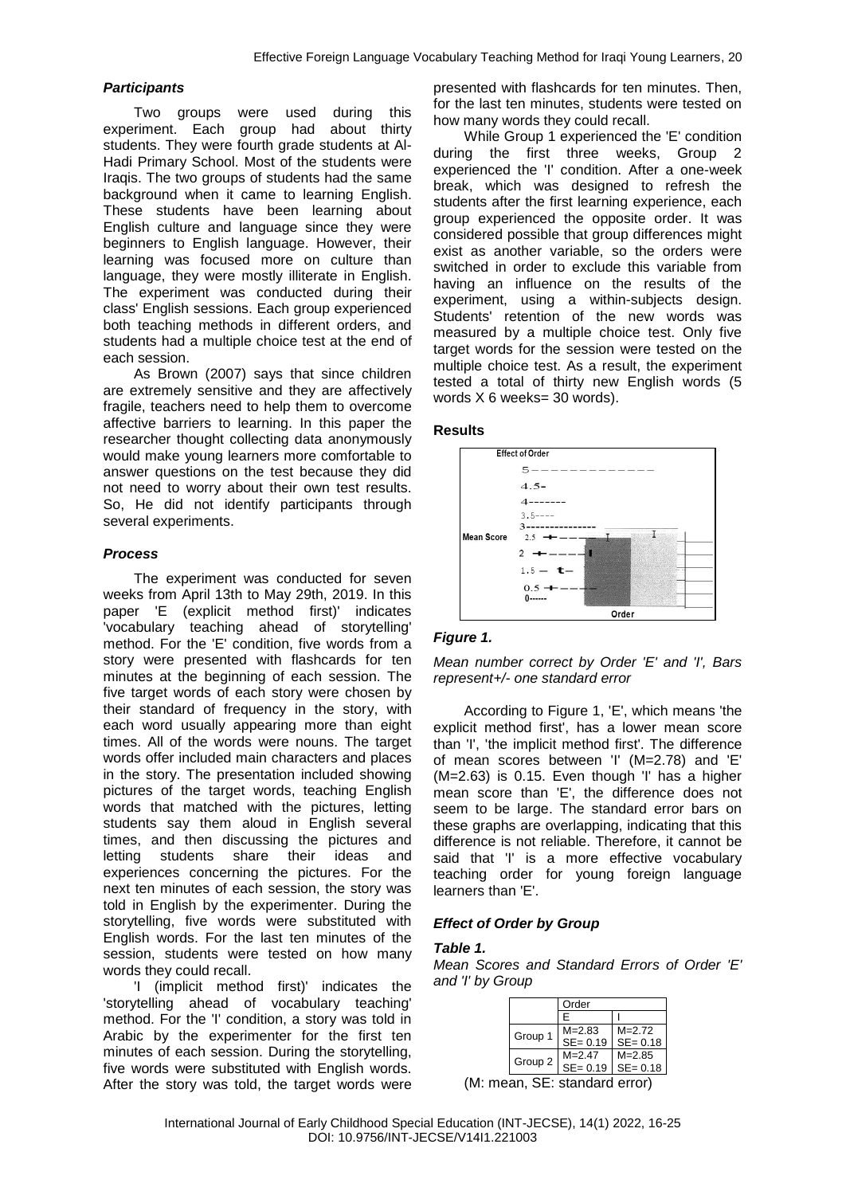## *Participants*

Two groups were used during this experiment. Each group had about thirty students. They were fourth grade students at Al-Hadi Primary School. Most of the students were Iraqis. The two groups of students had the same background when it came to learning English. These students have been learning about English culture and language since they were beginners to English language. However, their learning was focused more on culture than language, they were mostly illiterate in English. The experiment was conducted during their class' English sessions. Each group experienced both teaching methods in different orders, and students had a multiple choice test at the end of each session.

As Brown (2007) says that since children are extremely sensitive and they are affectively fragile, teachers need to help them to overcome affective barriers to learning. In this paper the researcher thought collecting data anonymously would make young learners more comfortable to answer questions on the test because they did not need to worry about their own test results. So, He did not identify participants through several experiments.

## *Process*

The experiment was conducted for seven weeks from April 13th to May 29th, 2019. In this paper 'E (explicit method first)' indicates 'vocabulary teaching ahead of storytelling' method. For the 'E' condition, five words from a story were presented with flashcards for ten minutes at the beginning of each session. The five target words of each story were chosen by their standard of frequency in the story, with each word usually appearing more than eight times. All of the words were nouns. The target words offer included main characters and places in the story. The presentation included showing pictures of the target words, teaching English words that matched with the pictures, letting students say them aloud in English several times, and then discussing the pictures and letting students share their ideas and experiences concerning the pictures. For the next ten minutes of each session, the story was told in English by the experimenter. During the storytelling, five words were substituted with English words. For the last ten minutes of the session, students were tested on how many words they could recall.

'I (implicit method first)' indicates the 'storytelling ahead of vocabulary teaching' method. For the 'I' condition, a story was told in Arabic by the experimenter for the first ten minutes of each session. During the storytelling, five words were substituted with English words. After the story was told, the target words were presented with flashcards for ten minutes. Then, for the last ten minutes, students were tested on how many words they could recall.

While Group 1 experienced the 'E' condition during the first three weeks, Group 2 experienced the 'I' condition. After a one-week break, which was designed to refresh the students after the first learning experience, each group experienced the opposite order. It was considered possible that group differences might exist as another variable, so the orders were switched in order to exclude this variable from having an influence on the results of the experiment, using a within-subjects design. Students' retention of the new words was measured by a multiple choice test. Only five target words for the session were tested on the multiple choice test. As a result, the experiment tested a total of thirty new English words (5 words X 6 weeks= 30 words).

## **Results**



# *Figure 1.*

*Mean number correct by Order 'E' and 'I', Bars represent+/- one standard error*

According to Figure 1, 'E', which means 'the explicit method first', has a lower mean score than 'I', 'the implicit method first'. The difference of mean scores between 'I' (M=2.78) and 'E' (M=2.63) is 0.15. Even though 'I' has a higher mean score than 'E', the difference does not seem to be large. The standard error bars on these graphs are overlapping, indicating that this difference is not reliable. Therefore, it cannot be said that 'I' is a more effective vocabulary teaching order for young foreign language learners than 'E'.

# *Effect of Order by Group*

## *Table 1.*

*Mean Scores and Standard Errors of Order 'E' and 'I' by Group*

| Order       |             |  |
|-------------|-------------|--|
| F           |             |  |
| $M = 2.83$  | $M = 2.72$  |  |
| $SE = 0.19$ | $SE = 0.18$ |  |
| $M = 2.47$  | $M = 2.85$  |  |
| $SE = 0.19$ | $SE = 0.18$ |  |
|             |             |  |

(M: mean, SE: standard error)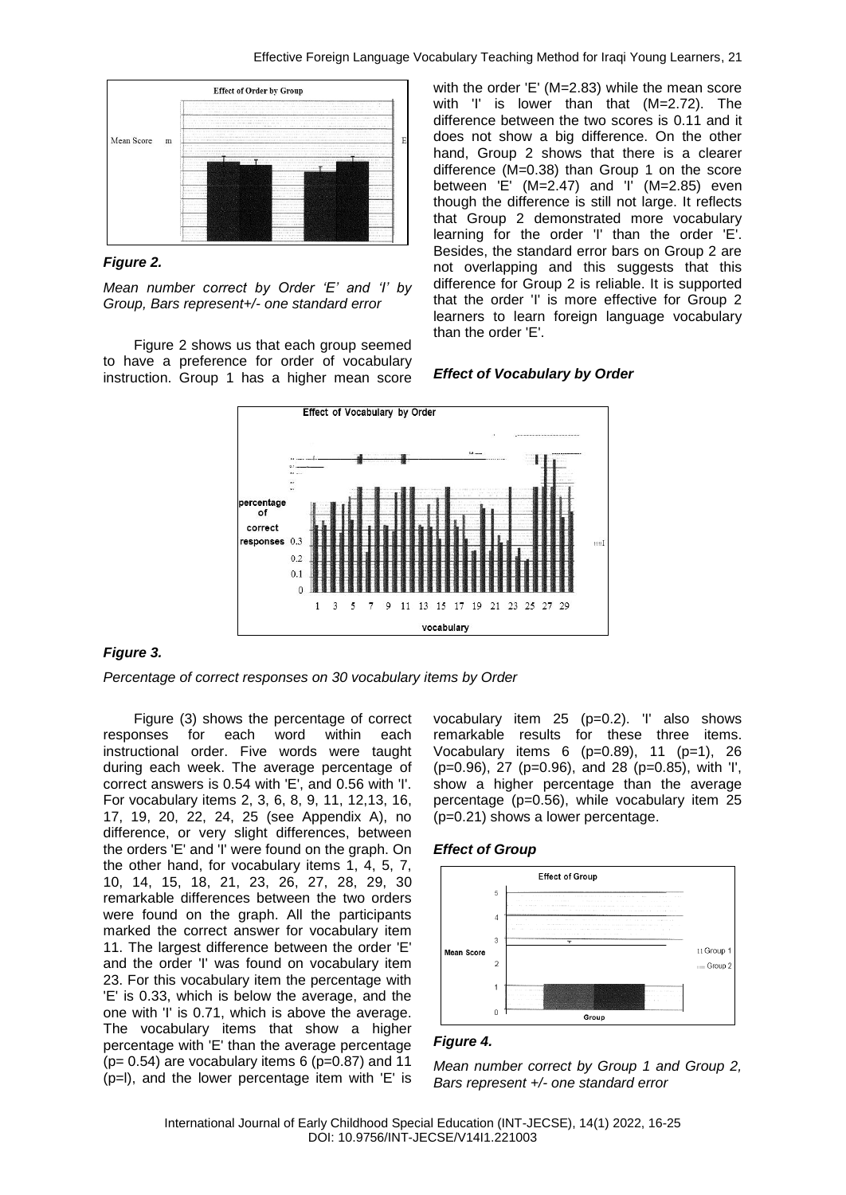

# *Figure 2.*

*Mean number correct by Order 'E' and 'I' by Group, Bars represent+/- one standard error*

Figure 2 shows us that each group seemed to have a preference for order of vocabulary instruction. Group 1 has a higher mean score with the order 'E' (M=2.83) while the mean score with 'I' is lower than that (M=2.72). The difference between the two scores is 0.11 and it does not show a big difference. On the other hand, Group 2 shows that there is a clearer difference (M=0.38) than Group 1 on the score between 'E'  $(M=2.47)$  and 'I'  $(M=2.85)$  even though the difference is still not large. It reflects that Group 2 demonstrated more vocabulary learning for the order 'I' than the order 'E'. Besides, the standard error bars on Group 2 are not overlapping and this suggests that this difference for Group 2 is reliable. It is supported that the order 'I' is more effective for Group 2 learners to learn foreign language vocabulary than the order 'E'.





# *Figure 3.*

*Percentage of correct responses on 30 vocabulary items by Order*

Figure (3) shows the percentage of correct responses for each word within each instructional order. Five words were taught during each week. The average percentage of correct answers is 0.54 with 'E', and 0.56 with 'I'. For vocabulary items 2, 3, 6, 8, 9, 11, 12,13, 16, 17, 19, 20, 22, 24, 25 (see Appendix A), no difference, or very slight differences, between the orders 'E' and 'I' were found on the graph. On the other hand, for vocabulary items 1, 4, 5, 7, 10, 14, 15, 18, 21, 23, 26, 27, 28, 29, 30 remarkable differences between the two orders were found on the graph. All the participants marked the correct answer for vocabulary item 11. The largest difference between the order 'E' and the order 'I' was found on vocabulary item 23. For this vocabulary item the percentage with 'E' is 0.33, which is below the average, and the one with 'I' is 0.71, which is above the average. The vocabulary items that show a higher percentage with 'E' than the average percentage ( $p= 0.54$ ) are vocabulary items 6 ( $p=0.87$ ) and 11 (p=l), and the lower percentage item with 'E' is

vocabulary item 25 (p=0.2). 'I' also shows remarkable results for these three items. Vocabulary items  $6 (p=0.89)$ , 11  $(p=1)$ , 26 (p=0.96), 27 (p=0.96), and 28 (p=0.85), with 'I', show a higher percentage than the average percentage (p=0.56), while vocabulary item 25 (p=0.21) shows a lower percentage.





## *Figure 4.*

*Mean number correct by Group 1 and Group 2, Bars represent +/- one standard error*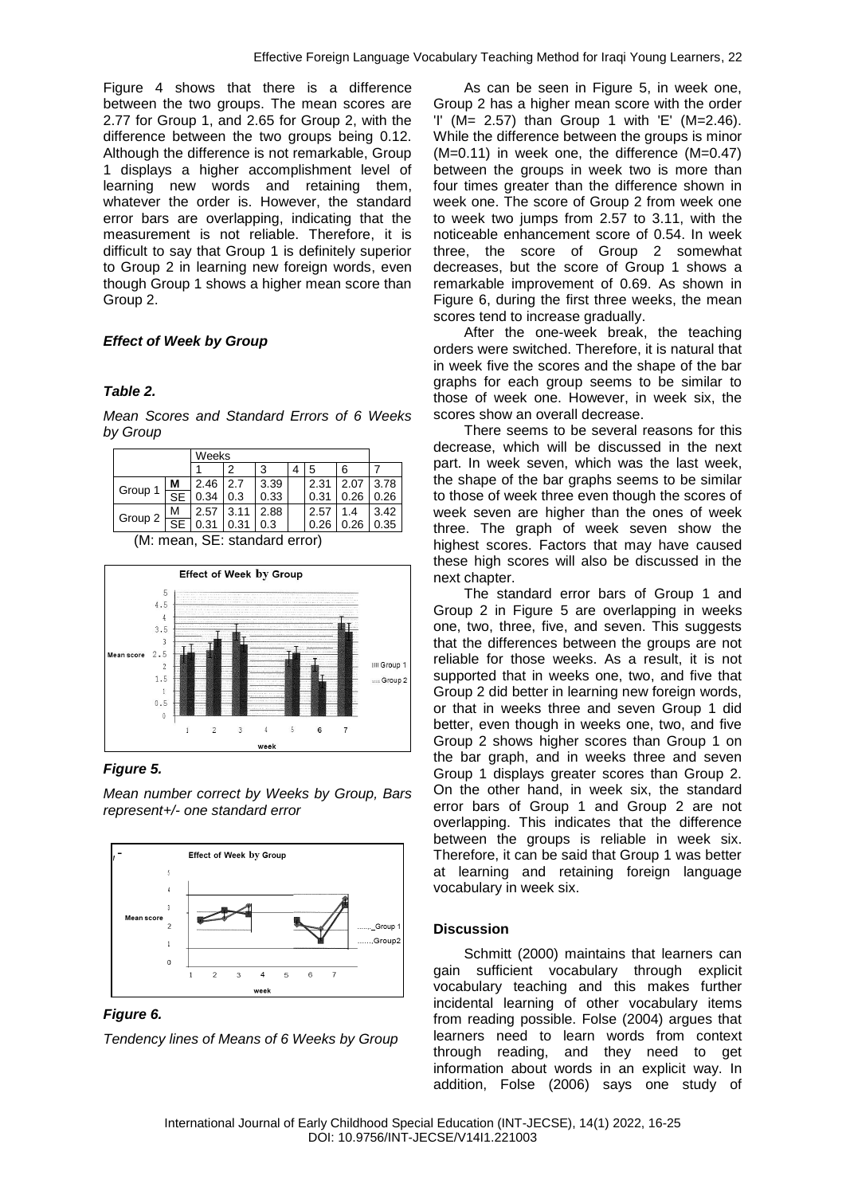Figure 4 shows that there is a difference between the two groups. The mean scores are 2.77 for Group 1, and 2.65 for Group 2, with the difference between the two groups being 0.12. Although the difference is not remarkable, Group 1 displays a higher accomplishment level of learning new words and retaining them, whatever the order is. However, the standard error bars are overlapping, indicating that the measurement is not reliable. Therefore, it is difficult to say that Group 1 is definitely superior to Group 2 in learning new foreign words, even though Group 1 shows a higher mean score than Group 2.

# *Effect of Week by Group*

# *Table 2.*

*Mean Scores and Standard Errors of 6 Weeks by Group*

|                               | Weeks                  |      |      |      |  |      |      |      |  |
|-------------------------------|------------------------|------|------|------|--|------|------|------|--|
|                               |                        |      | 2    | 3    |  | 5    | 6    |      |  |
| Group 1                       | М                      | 2.46 | 2.7  | 3.39 |  | 2.31 | 2.07 | 3.78 |  |
|                               | <b>SE</b>              | 0.34 | 0.3  | 0.33 |  | 0.31 | 0.26 | 0.26 |  |
| Group 2                       | M                      | 2.57 | 3.11 | 2.88 |  | 2.57 | 1.4  | 3.42 |  |
|                               | $\overline{\text{SE}}$ | 0.31 | 0.31 | 0.3  |  | 0.26 | 0.26 | 0.35 |  |
| (M: mean, SE: standard error) |                        |      |      |      |  |      |      |      |  |



*Figure 5.*

*Mean number correct by Weeks by Group, Bars represent+/- one standard error*



*Figure 6.*

*Tendency lines of Means of 6 Weeks by Group*

As can be seen in Figure 5, in week one. Group 2 has a higher mean score with the order 'I' (M= 2.57) than Group 1 with 'E' (M=2.46). While the difference between the groups is minor (M=0.11) in week one, the difference (M=0.47) between the groups in week two is more than four times greater than the difference shown in week one. The score of Group 2 from week one to week two jumps from 2.57 to 3.11, with the noticeable enhancement score of 0.54. In week three, the score of Group 2 somewhat decreases, but the score of Group 1 shows a remarkable improvement of 0.69. As shown in Figure 6, during the first three weeks, the mean scores tend to increase gradually.

After the one-week break, the teaching orders were switched. Therefore, it is natural that in week five the scores and the shape of the bar graphs for each group seems to be similar to those of week one. However, in week six, the scores show an overall decrease.

There seems to be several reasons for this decrease, which will be discussed in the next part. In week seven, which was the last week, the shape of the bar graphs seems to be similar to those of week three even though the scores of week seven are higher than the ones of week three. The graph of week seven show the highest scores. Factors that may have caused these high scores will also be discussed in the next chapter.

The standard error bars of Group 1 and Group 2 in Figure 5 are overlapping in weeks one, two, three, five, and seven. This suggests that the differences between the groups are not reliable for those weeks. As a result, it is not supported that in weeks one, two, and five that Group 2 did better in learning new foreign words, or that in weeks three and seven Group 1 did better, even though in weeks one, two, and five Group 2 shows higher scores than Group 1 on the bar graph, and in weeks three and seven Group 1 displays greater scores than Group 2. On the other hand, in week six, the standard error bars of Group 1 and Group 2 are not overlapping. This indicates that the difference between the groups is reliable in week six. Therefore, it can be said that Group 1 was better at learning and retaining foreign language vocabulary in week six.

# **Discussion**

Schmitt (2000) maintains that learners can gain sufficient vocabulary through explicit vocabulary teaching and this makes further incidental learning of other vocabulary items from reading possible. Folse (2004) argues that learners need to learn words from context through reading, and they need to get information about words in an explicit way. In addition, Folse (2006) says one study of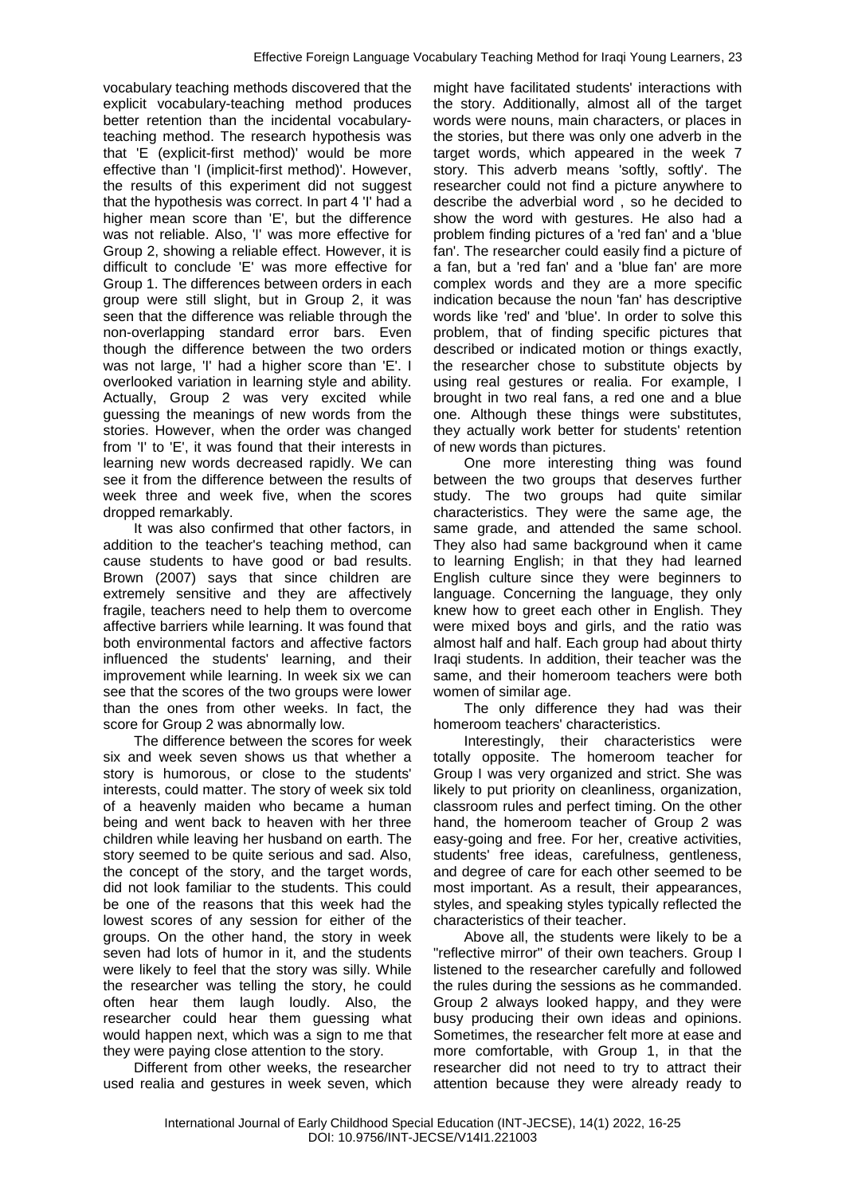vocabulary teaching methods discovered that the explicit vocabulary-teaching method produces better retention than the incidental vocabularyteaching method. The research hypothesis was that 'E (explicit-first method)' would be more effective than 'I (implicit-first method)'. However, the results of this experiment did not suggest that the hypothesis was correct. In part 4 'I' had a higher mean score than 'E', but the difference was not reliable. Also, 'I' was more effective for Group 2, showing a reliable effect. However, it is difficult to conclude 'E' was more effective for Group 1. The differences between orders in each group were still slight, but in Group 2, it was seen that the difference was reliable through the non-overlapping standard error bars. Even though the difference between the two orders was not large, 'I' had a higher score than 'E'. I overlooked variation in learning style and ability. Actually, Group 2 was very excited while guessing the meanings of new words from the stories. However, when the order was changed from 'I' to 'E', it was found that their interests in learning new words decreased rapidly. We can see it from the difference between the results of week three and week five, when the scores dropped remarkably.

It was also confirmed that other factors, in addition to the teacher's teaching method, can cause students to have good or bad results. Brown (2007) says that since children are extremely sensitive and they are affectively fragile, teachers need to help them to overcome affective barriers while learning. It was found that both environmental factors and affective factors influenced the students' learning, and their improvement while learning. In week six we can see that the scores of the two groups were lower than the ones from other weeks. In fact, the score for Group 2 was abnormally low.

The difference between the scores for week six and week seven shows us that whether a story is humorous, or close to the students' interests, could matter. The story of week six told of a heavenly maiden who became a human being and went back to heaven with her three children while leaving her husband on earth. The story seemed to be quite serious and sad. Also, the concept of the story, and the target words, did not look familiar to the students. This could be one of the reasons that this week had the lowest scores of any session for either of the groups. On the other hand, the story in week seven had lots of humor in it, and the students were likely to feel that the story was silly. While the researcher was telling the story, he could often hear them laugh loudly. Also, the researcher could hear them guessing what would happen next, which was a sign to me that they were paying close attention to the story.

Different from other weeks, the researcher used realia and gestures in week seven, which might have facilitated students' interactions with the story. Additionally, almost all of the target words were nouns, main characters, or places in the stories, but there was only one adverb in the target words, which appeared in the week 7 story. This adverb means 'softly, softly'. The researcher could not find a picture anywhere to describe the adverbial word , so he decided to show the word with gestures. He also had a problem finding pictures of a 'red fan' and a 'blue fan'. The researcher could easily find a picture of a fan, but a 'red fan' and a 'blue fan' are more complex words and they are a more specific indication because the noun 'fan' has descriptive words like 'red' and 'blue'. In order to solve this problem, that of finding specific pictures that described or indicated motion or things exactly, the researcher chose to substitute objects by using real gestures or realia. For example, I brought in two real fans, a red one and a blue one. Although these things were substitutes, they actually work better for students' retention of new words than pictures.

One more interesting thing was found between the two groups that deserves further study. The two groups had quite similar characteristics. They were the same age, the same grade, and attended the same school. They also had same background when it came to learning English; in that they had learned English culture since they were beginners to language. Concerning the language, they only knew how to greet each other in English. They were mixed boys and girls, and the ratio was almost half and half. Each group had about thirty Iraqi students. In addition, their teacher was the same, and their homeroom teachers were both women of similar age.

The only difference they had was their homeroom teachers' characteristics.

Interestingly, their characteristics were totally opposite. The homeroom teacher for Group I was very organized and strict. She was likely to put priority on cleanliness, organization, classroom rules and perfect timing. On the other hand, the homeroom teacher of Group 2 was easy-going and free. For her, creative activities, students' free ideas, carefulness, gentleness, and degree of care for each other seemed to be most important. As a result, their appearances, styles, and speaking styles typically reflected the characteristics of their teacher.

Above all, the students were likely to be a "reflective mirror" of their own teachers. Group I listened to the researcher carefully and followed the rules during the sessions as he commanded. Group 2 always looked happy, and they were busy producing their own ideas and opinions. Sometimes, the researcher felt more at ease and more comfortable, with Group 1, in that the researcher did not need to try to attract their attention because they were already ready to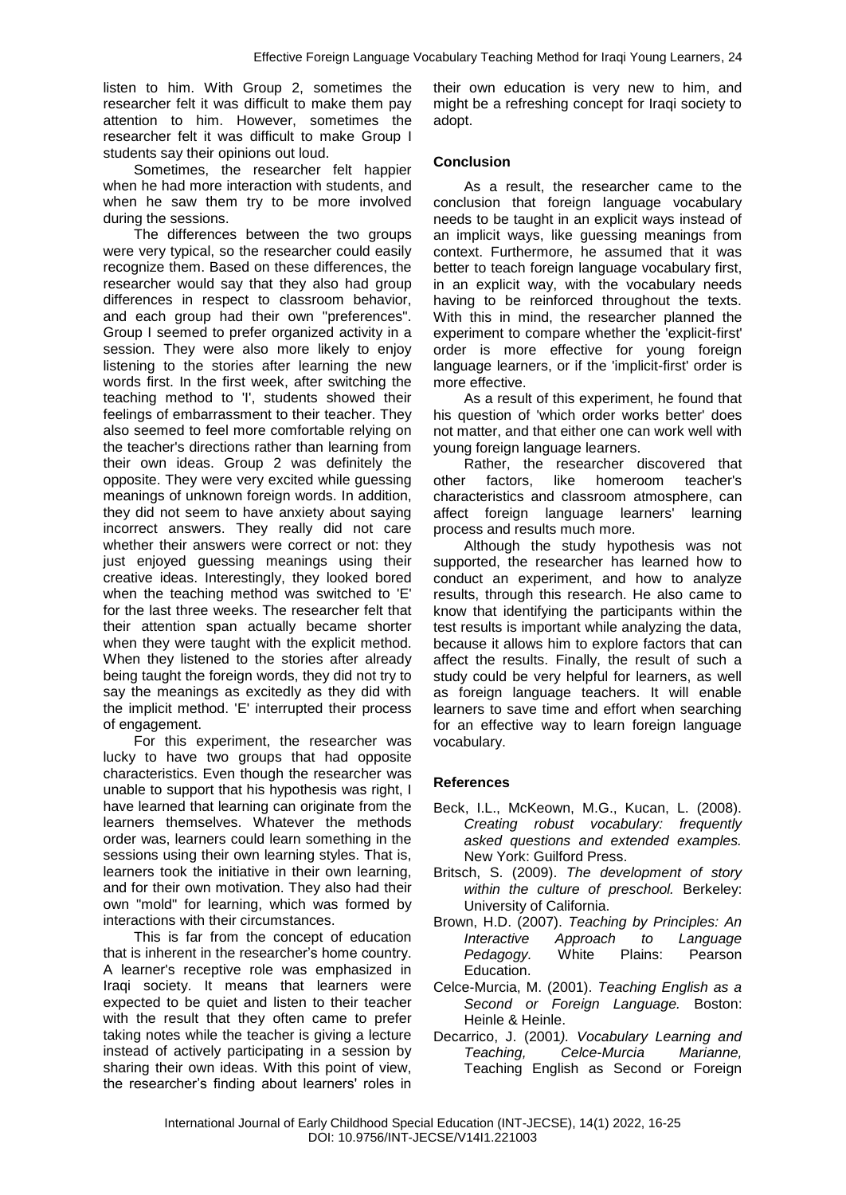listen to him. With Group 2, sometimes the researcher felt it was difficult to make them pay attention to him. However, sometimes the researcher felt it was difficult to make Group I students say their opinions out loud.

Sometimes, the researcher felt happier when he had more interaction with students, and when he saw them try to be more involved during the sessions.

The differences between the two groups were very typical, so the researcher could easily recognize them. Based on these differences, the researcher would say that they also had group differences in respect to classroom behavior, and each group had their own "preferences". Group I seemed to prefer organized activity in a session. They were also more likely to enjoy listening to the stories after learning the new words first. In the first week, after switching the teaching method to 'I', students showed their feelings of embarrassment to their teacher. They also seemed to feel more comfortable relying on the teacher's directions rather than learning from their own ideas. Group 2 was definitely the opposite. They were very excited while guessing meanings of unknown foreign words. In addition, they did not seem to have anxiety about saying incorrect answers. They really did not care whether their answers were correct or not: they just enjoyed guessing meanings using their creative ideas. Interestingly, they looked bored when the teaching method was switched to 'E' for the last three weeks. The researcher felt that their attention span actually became shorter when they were taught with the explicit method. When they listened to the stories after already being taught the foreign words, they did not try to say the meanings as excitedly as they did with the implicit method. 'E' interrupted their process of engagement.

For this experiment, the researcher was lucky to have two groups that had opposite characteristics. Even though the researcher was unable to support that his hypothesis was right, I have learned that learning can originate from the learners themselves. Whatever the methods order was, learners could learn something in the sessions using their own learning styles. That is, learners took the initiative in their own learning, and for their own motivation. They also had their own "mold" for learning, which was formed by interactions with their circumstances.

This is far from the concept of education that is inherent in the researcher's home country. A learner's receptive role was emphasized in Iraqi society. It means that learners were expected to be quiet and listen to their teacher with the result that they often came to prefer taking notes while the teacher is giving a lecture instead of actively participating in a session by sharing their own ideas. With this point of view, the researcher's finding about learners' roles in

their own education is very new to him, and might be a refreshing concept for Iragi society to adopt.

## **Conclusion**

As a result, the researcher came to the conclusion that foreign language vocabulary needs to be taught in an explicit ways instead of an implicit ways, like guessing meanings from context. Furthermore, he assumed that it was better to teach foreign language vocabulary first, in an explicit way, with the vocabulary needs having to be reinforced throughout the texts. With this in mind, the researcher planned the experiment to compare whether the 'explicit-first' order is more effective for young foreign language learners, or if the 'implicit-first' order is more effective.

As a result of this experiment, he found that his question of 'which order works better' does not matter, and that either one can work well with young foreign language learners.

Rather, the researcher discovered that other factors, like homeroom teacher's characteristics and classroom atmosphere, can affect foreign language learners' learning process and results much more.

Although the study hypothesis was not supported, the researcher has learned how to conduct an experiment, and how to analyze results, through this research. He also came to know that identifying the participants within the test results is important while analyzing the data, because it allows him to explore factors that can affect the results. Finally, the result of such a study could be very helpful for learners, as well as foreign language teachers. It will enable learners to save time and effort when searching for an effective way to learn foreign language vocabulary.

# **References**

- Beck, I.L., McKeown, M.G., Kucan, L. (2008). *Creating robust vocabulary: frequently asked questions and extended examples.*  New York: Guilford Press.
- Britsch, S. (2009). *The development of story within the culture of preschool.* Berkeley: University of California.
- Brown, H.D. (2007). *Teaching by Principles: An Interactive Approach to Language Pedagogy.* White Plains: Pearson Education.
- Celce-Murcia, M. (2001). *Teaching English as a Second or Foreign Language.* Boston: Heinle & Heinle.
- Decarrico, J. (2001*). Vocabulary Learning and Teaching, Celce-Murcia Marianne,*  Teaching English as Second or Foreign